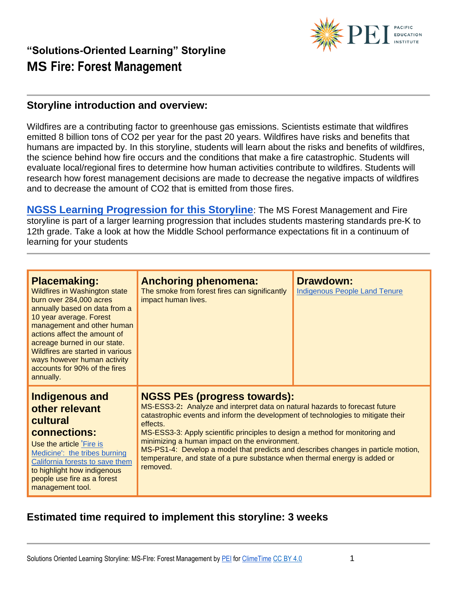

#### **Storyline introduction and overview:**

Wildfires are a contributing factor to greenhouse gas emissions. Scientists estimate that wildfires emitted 8 billion tons of CO2 per year for the past 20 years. Wildfires have risks and benefits that humans are impacted by. In this storyline, students will learn about the risks and benefits of wildfires, the science behind how fire occurs and the conditions that make a fire catastrophic. Students will evaluate local/regional fires to determine how human activities contribute to wildfires. Students will research how forest management decisions are made to decrease the negative impacts of wildfires and to decrease the amount of CO2 that is emitted from those fires.

**[NGSS Learning Progression for this Storyline](https://pacificeductioninstitute.sharepoint.com/:x:/s/Program/EWV7knBQkgtOsiWnuNOPC-IBdShSwrtE43e4hUTSKn_K2g?e=LkFdwy)**: The MS Forest Management and Fire storyline is part of a larger learning progression that includes students mastering standards pre-K to 12th grade. Take a look at how the Middle School performance expectations fit in a continuum of learning for your students

| <b>Placemaking:</b><br><b>Wildfires in Washington state</b><br>burn over 284,000 acres<br>annually based on data from a<br>10 year average. Forest<br>management and other human<br>actions affect the amount of<br>acreage burned in our state.<br>Wildfires are started in various<br>ways however human activity<br>accounts for 90% of the fires<br>annually. | <b>Anchoring phenomena:</b><br>The smoke from forest fires can significantly<br>impact human lives.          | <b>Drawdown:</b><br><b>Indigenous People Land Tenure</b>                                                                                                                                                                                                                                                                                                                                                           |  |
|-------------------------------------------------------------------------------------------------------------------------------------------------------------------------------------------------------------------------------------------------------------------------------------------------------------------------------------------------------------------|--------------------------------------------------------------------------------------------------------------|--------------------------------------------------------------------------------------------------------------------------------------------------------------------------------------------------------------------------------------------------------------------------------------------------------------------------------------------------------------------------------------------------------------------|--|
| <b>Indigenous and</b><br>other relevant<br>cultural<br>connections:<br>Use the article Fire is<br>Medicine': the tribes burning<br>California forests to save them<br>to highlight how indigenous<br>people use fire as a forest<br>management tool.                                                                                                              | <b>NGSS PEs (progress towards):</b><br>effects.<br>minimizing a human impact on the environment.<br>removed. | MS-ESS3-2: Analyze and interpret data on natural hazards to forecast future<br>catastrophic events and inform the development of technologies to mitigate their<br>MS-ESS3-3: Apply scientific principles to design a method for monitoring and<br>MS-PS1-4: Develop a model that predicts and describes changes in particle motion,<br>temperature, and state of a pure substance when thermal energy is added or |  |

#### **Estimated time required to implement this storyline: 3 weeks**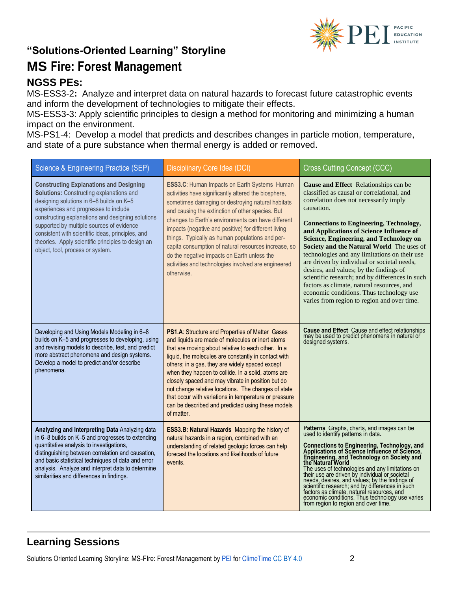

# **"Solutions-Oriented Learning" Storyline**

### **MS Fire: Forest Management**

#### **NGSS PEs:**

MS-ESS3-2**:** Analyze and interpret data on natural hazards to forecast future catastrophic events and inform the development of technologies to mitigate their effects.

MS-ESS3-3: Apply scientific principles to design a method for monitoring and minimizing a human impact on the environment.

MS-PS1-4: Develop a model that predicts and describes changes in particle motion, temperature, and state of a pure substance when thermal energy is added or removed.

| Science & Engineering Practice (SEP)                                                                                                                                                                                                                                                                                                                                                                                                    | Disciplinary Core Idea (DCI)                                                                                                                                                                                                                                                                                                                                                                                                                                                                                                                                       | <b>Cross Cutting Concept (CCC)</b>                                                                                                                                                                                                                                                                                                                                                                                                                                                                                                                                                                                                                                       |
|-----------------------------------------------------------------------------------------------------------------------------------------------------------------------------------------------------------------------------------------------------------------------------------------------------------------------------------------------------------------------------------------------------------------------------------------|--------------------------------------------------------------------------------------------------------------------------------------------------------------------------------------------------------------------------------------------------------------------------------------------------------------------------------------------------------------------------------------------------------------------------------------------------------------------------------------------------------------------------------------------------------------------|--------------------------------------------------------------------------------------------------------------------------------------------------------------------------------------------------------------------------------------------------------------------------------------------------------------------------------------------------------------------------------------------------------------------------------------------------------------------------------------------------------------------------------------------------------------------------------------------------------------------------------------------------------------------------|
| <b>Constructing Explanations and Designing</b><br><b>Solutions: Constructing explanations and</b><br>designing solutions in 6-8 builds on K-5<br>experiences and progresses to include<br>constructing explanations and designing solutions<br>supported by multiple sources of evidence<br>consistent with scientific ideas, principles, and<br>theories. Apply scientific principles to design an<br>object, tool, process or system. | ESS3.C: Human Impacts on Earth Systems Human<br>activities have significantly altered the biosphere,<br>sometimes damaging or destroying natural habitats<br>and causing the extinction of other species. But<br>changes to Earth's environments can have different<br>impacts (negative and positive) for different living<br>things. Typically as human populations and per-<br>capita consumption of natural resources increase, so<br>do the negative impacts on Earth unless the<br>activities and technologies involved are engineered<br>otherwise.         | Cause and Effect Relationships can be<br>classified as causal or correlational, and<br>correlation does not necessarily imply<br>causation.<br><b>Connections to Engineering, Technology,</b><br>and Applications of Science Influence of<br>Science, Engineering, and Technology on<br>Society and the Natural World The uses of<br>technologies and any limitations on their use<br>are driven by individual or societal needs,<br>desires, and values; by the findings of<br>scientific research; and by differences in such<br>factors as climate, natural resources, and<br>economic conditions. Thus technology use<br>varies from region to region and over time. |
| Developing and Using Models Modeling in 6-8<br>builds on K-5 and progresses to developing, using<br>and revising models to describe, test, and predict<br>more abstract phenomena and design systems.<br>Develop a model to predict and/or describe<br>phenomena.                                                                                                                                                                       | PS1.A: Structure and Properties of Matter Gases<br>and liquids are made of molecules or inert atoms<br>that are moving about relative to each other. In a<br>liquid, the molecules are constantly in contact with<br>others; in a gas, they are widely spaced except<br>when they happen to collide. In a solid, atoms are<br>closely spaced and may vibrate in position but do<br>not change relative locations. The changes of state<br>that occur with variations in temperature or pressure<br>can be described and predicted using these models<br>of matter. | <b>Cause and Effect</b> Cause and effect relationships<br>may be used to predict phenomena in natural or<br>designed systems.                                                                                                                                                                                                                                                                                                                                                                                                                                                                                                                                            |
| Analyzing and Interpreting Data Analyzing data<br>in 6-8 builds on K-5 and progresses to extending<br>quantitative analysis to investigations,<br>distinguishing between correlation and causation,<br>and basic statistical techniques of data and error<br>analysis. Analyze and interpret data to determine<br>similarities and differences in findings.                                                                             | ESS3.B: Natural Hazards Mapping the history of<br>natural hazards in a region, combined with an<br>understanding of related geologic forces can help<br>forecast the locations and likelihoods of future<br>events.                                                                                                                                                                                                                                                                                                                                                | Patterns Graphs, charts, and images can be<br>used to identify patterns in data.<br><b>Connections to Engineering, Technology, and</b><br>Applications of Science Influence of Science,<br>Engineering, and Technology on Society and<br>the Natural World<br>The uses of technologies and any limitations on<br>their use are driven by individual or societal<br>needs, desires, and values; by the findings of<br>scientific research; and by differences in such<br>factors as climate, natural resources, and<br>economic conditions. Thus technology use varies<br>from region to region and over time.                                                            |

#### **Learning Sessions**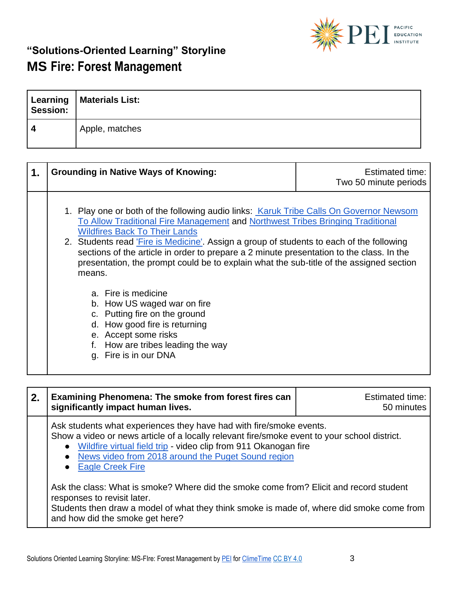

| Session: | Learning   Materials List: |
|----------|----------------------------|
|          | Apple, matches             |

| 1. | <b>Grounding in Native Ways of Knowing:</b>                                                                                                                                                                                                                                                                                                                                                                                                                                                                                                                                                                                                                                                                                 | <b>Estimated time:</b><br>Two 50 minute periods |
|----|-----------------------------------------------------------------------------------------------------------------------------------------------------------------------------------------------------------------------------------------------------------------------------------------------------------------------------------------------------------------------------------------------------------------------------------------------------------------------------------------------------------------------------------------------------------------------------------------------------------------------------------------------------------------------------------------------------------------------------|-------------------------------------------------|
|    | 1. Play one or both of the following audio links: Karuk Tribe Calls On Governor Newsom<br>To Allow Traditional Fire Management and Northwest Tribes Bringing Traditional<br><b>Wildfires Back To Their Lands</b><br>2. Students read 'Fire is Medicine'. Assign a group of students to each of the following<br>sections of the article in order to prepare a 2 minute presentation to the class. In the<br>presentation, the prompt could be to explain what the sub-title of the assigned section<br>means.<br>a. Fire is medicine<br>b. How US waged war on fire<br>c. Putting fire on the ground<br>d. How good fire is returning<br>e. Accept some risks<br>f. How are tribes leading the way<br>g. Fire is in our DNA |                                                 |

| $\overline{2}$ . | Examining Phenomena: The smoke from forest fires can<br>significantly impact human lives.                                                                                                                                                                                                                              | Estimated time:<br>50 minutes |
|------------------|------------------------------------------------------------------------------------------------------------------------------------------------------------------------------------------------------------------------------------------------------------------------------------------------------------------------|-------------------------------|
|                  | Ask students what experiences they have had with fire/smoke events.<br>Show a video or news article of a locally relevant fire/smoke event to your school district.<br>• Wildfire virtual field trip - video clip from 911 Okanogan fire<br>• News video from 2018 around the Puget Sound region<br>• Eagle Creek Fire |                               |
|                  | Ask the class: What is smoke? Where did the smoke come from? Elicit and record student<br>responses to revisit later.<br>Students then draw a model of what they think smoke is made of, where did smoke come from<br>and how did the smoke get here?                                                                  |                               |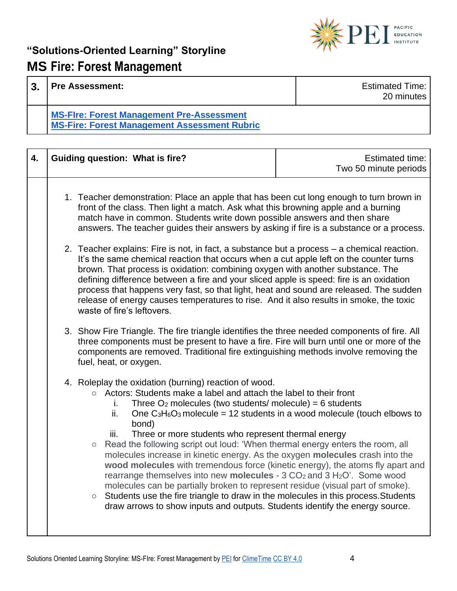

| 3 | <b>Pre Assessment:</b>                                                                                  | <b>Estimated Time:</b><br>20 minutes |
|---|---------------------------------------------------------------------------------------------------------|--------------------------------------|
|   | <b>MS-Fire: Forest Management Pre-Assessment</b><br><b>MS-Fire: Forest Management Assessment Rubric</b> |                                      |

| 4. | <b>Guiding question: What is fire?</b>                                                                                                                                                                                                                                                                                                                                                                                                                                                                                                                                                                                                                                                                                                                                                                                                                                                                                                                                                                 | <b>Estimated time:</b><br>Two 50 minute periods |
|----|--------------------------------------------------------------------------------------------------------------------------------------------------------------------------------------------------------------------------------------------------------------------------------------------------------------------------------------------------------------------------------------------------------------------------------------------------------------------------------------------------------------------------------------------------------------------------------------------------------------------------------------------------------------------------------------------------------------------------------------------------------------------------------------------------------------------------------------------------------------------------------------------------------------------------------------------------------------------------------------------------------|-------------------------------------------------|
|    | 1. Teacher demonstration: Place an apple that has been cut long enough to turn brown in<br>front of the class. Then light a match. Ask what this browning apple and a burning<br>match have in common. Students write down possible answers and then share<br>answers. The teacher guides their answers by asking if fire is a substance or a process.                                                                                                                                                                                                                                                                                                                                                                                                                                                                                                                                                                                                                                                 |                                                 |
|    | 2. Teacher explains: Fire is not, in fact, a substance but a process - a chemical reaction.<br>It's the same chemical reaction that occurs when a cut apple left on the counter turns<br>brown. That process is oxidation: combining oxygen with another substance. The<br>defining difference between a fire and your sliced apple is speed: fire is an oxidation<br>process that happens very fast, so that light, heat and sound are released. The sudden<br>release of energy causes temperatures to rise. And it also results in smoke, the toxic<br>waste of fire's leftovers.                                                                                                                                                                                                                                                                                                                                                                                                                   |                                                 |
|    | 3. Show Fire Triangle. The fire triangle identifies the three needed components of fire. All<br>three components must be present to have a fire. Fire will burn until one or more of the<br>components are removed. Traditional fire extinguishing methods involve removing the<br>fuel, heat, or oxygen.                                                                                                                                                                                                                                                                                                                                                                                                                                                                                                                                                                                                                                                                                              |                                                 |
|    | 4. Roleplay the oxidation (burning) reaction of wood.<br>○ Actors: Students make a label and attach the label to their front<br>Three $O_2$ molecules (two students/ molecule) = 6 students<br>İ.<br>ii.<br>One $C_3H_6O_3$ molecule = 12 students in a wood molecule (touch elbows to<br>bond)<br>Three or more students who represent thermal energy<br>iii.<br>Read the following script out loud: 'When thermal energy enters the room, all<br>$\bigcirc$<br>molecules increase in kinetic energy. As the oxygen molecules crash into the<br>wood molecules with tremendous force (kinetic energy), the atoms fly apart and<br>rearrange themselves into new molecules - 3 CO <sub>2</sub> and 3 H <sub>2</sub> O'. Some wood<br>molecules can be partially broken to represent residue (visual part of smoke).<br>Students use the fire triangle to draw in the molecules in this process. Students<br>$\bigcirc$<br>draw arrows to show inputs and outputs. Students identify the energy source. |                                                 |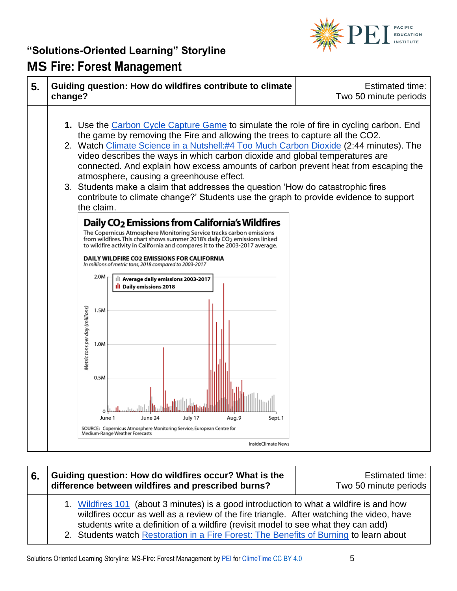



#### **6. Guiding question: How do wildfires occur? What is the difference between wildfires and prescribed burns?**

Estimated time: Two 50 minute periods

- 1. [Wildfires 101](https://www.youtube.com/watch?v=5hghT1W33cY) (about 3 minutes) is a good introduction to what a wildfire is and how wildfires occur as well as a review of the fire triangle. After watching the video, have students write a definition of a wildfire (revisit model to see what they can add) 2. Students watch [Restoration in a Fire Forest: The Benefits of Burning](https://www.youtube.com/watch?v=yf6slNlMx6Q) to learn about
- Solutions Oriented Learning Storyline: MS-FIre: Forest Management by [PEI](https://pacificeducationinstitute.org/) fo[r ClimeTime](https://www.climetime.org/) [CC BY 4.0](https://creativecommons.org/licenses/by/4.0/) 5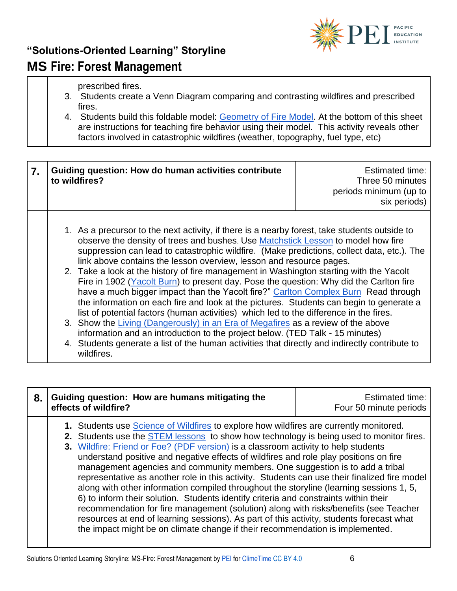

prescribed fires.

- 3. Students create a Venn Diagram comparing and contrasting wildfires and prescribed fires.
- 4. Students build this foldable model: [Geometry of Fire Model.](https://www.plt.org/wp-content/uploads/2017/05/Geometry-of-Fire-folding-model.pdf) At the bottom of this sheet are instructions for teaching fire behavior using their model. This activity reveals other factors involved in catastrophic wildfires (weather, topography, fuel type, etc)

| 7. | Guiding question: How do human activities contribute<br>to wildfires?                                                                                                                                                                                                                                                                                                                                                                                                                                                                                                                                                                                                                                                                                                                                                                                                                                                                                                                                                                                                                                       | <b>Estimated time:</b><br>Three 50 minutes<br>periods minimum (up to<br>six periods) |
|----|-------------------------------------------------------------------------------------------------------------------------------------------------------------------------------------------------------------------------------------------------------------------------------------------------------------------------------------------------------------------------------------------------------------------------------------------------------------------------------------------------------------------------------------------------------------------------------------------------------------------------------------------------------------------------------------------------------------------------------------------------------------------------------------------------------------------------------------------------------------------------------------------------------------------------------------------------------------------------------------------------------------------------------------------------------------------------------------------------------------|--------------------------------------------------------------------------------------|
|    | 1. As a precursor to the next activity, if there is a nearby forest, take students outside to<br>observe the density of trees and bushes. Use Matchstick Lesson to model how fire<br>suppression can lead to catastrophic wildfire. (Make predictions, collect data, etc.). The<br>link above contains the lesson overview, lesson and resource pages.<br>2. Take a look at the history of fire management in Washington starting with the Yacolt<br>Fire in 1902 (Yacolt Burn) to present day. Pose the question: Why did the Carlton fire<br>have a much bigger impact than the Yacolt fire?" Carlton Complex Burn Read through<br>the information on each fire and look at the pictures. Students can begin to generate a<br>list of potential factors (human activities) which led to the difference in the fires.<br>3. Show the Living (Dangerously) in an Era of Megafires as a review of the above<br>information and an introduction to the project below. (TED Talk - 15 minutes)<br>4. Students generate a list of the human activities that directly and indirectly contribute to<br>wildfires. |                                                                                      |

| 8. | Guiding question: How are humans mitigating the<br>effects of wildfire?                                                                                                                                                                                                                                                                                                                                                                                                                                                                                                                                                                                                                                                                                                                                                                                                                                                                                                                                                | <b>Estimated time:</b><br>Four 50 minute periods |
|----|------------------------------------------------------------------------------------------------------------------------------------------------------------------------------------------------------------------------------------------------------------------------------------------------------------------------------------------------------------------------------------------------------------------------------------------------------------------------------------------------------------------------------------------------------------------------------------------------------------------------------------------------------------------------------------------------------------------------------------------------------------------------------------------------------------------------------------------------------------------------------------------------------------------------------------------------------------------------------------------------------------------------|--------------------------------------------------|
|    | 1. Students use <b>Science of Wildfires</b> to explore how wildfires are currently monitored.<br>2. Students use the <b>STEM</b> lessons to show how technology is being used to monitor fires.<br>3. Wildfire: Friend or Foe? (PDF version) is a classroom activity to help students<br>understand positive and negative effects of wildfires and role play positions on fire<br>management agencies and community members. One suggestion is to add a tribal<br>representative as another role in this activity. Students can use their finalized fire model<br>along with other information compiled throughout the storyline (learning sessions 1, 5,<br>6) to inform their solution. Students identify criteria and constraints within their<br>recommendation for fire management (solution) along with risks/benefits (see Teacher<br>resources at end of learning sessions). As part of this activity, students forecast what<br>the impact might be on climate change if their recommendation is implemented. |                                                  |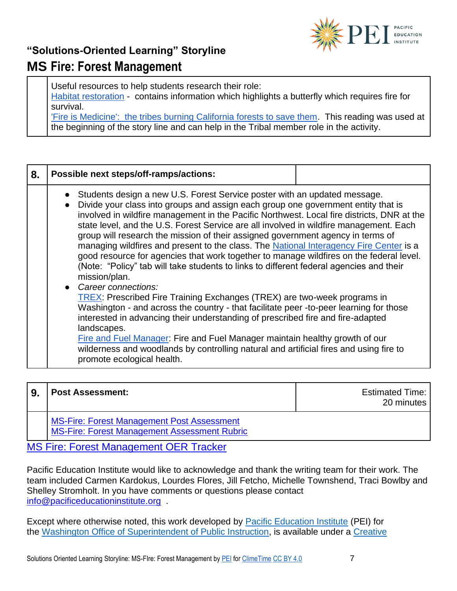

Useful resources to help students research their role:

[Habitat restoration](https://ecosystems.psu.edu/youth/sftrc/wildfire-lesson-plans/habitat-restoration) - contains information which highlights a butterfly which requires fire for survival.

['Fire is Medicine': the tribes burning California forests to save them.](https://www.theguardian.com/us-news/2019/nov/21/wildfire-prescribed-burns-california-native-americans) This reading was used at the beginning of the story line and can help in the Tribal member role in the activity.

| 8. | Possible next steps/off-ramps/actions:                                                                                                                                                                                                                                                                                                                                                                                                                                                                                                                                                                                                                                                                                                                                                                                                                                                                                                                                                                                                                                                                                                                                                                                                                                   |  |
|----|--------------------------------------------------------------------------------------------------------------------------------------------------------------------------------------------------------------------------------------------------------------------------------------------------------------------------------------------------------------------------------------------------------------------------------------------------------------------------------------------------------------------------------------------------------------------------------------------------------------------------------------------------------------------------------------------------------------------------------------------------------------------------------------------------------------------------------------------------------------------------------------------------------------------------------------------------------------------------------------------------------------------------------------------------------------------------------------------------------------------------------------------------------------------------------------------------------------------------------------------------------------------------|--|
|    | • Students design a new U.S. Forest Service poster with an updated message.<br>Divide your class into groups and assign each group one government entity that is<br>$\bullet$<br>involved in wildfire management in the Pacific Northwest. Local fire districts, DNR at the<br>state level, and the U.S. Forest Service are all involved in wildfire management. Each<br>group will research the mission of their assigned government agency in terms of<br>managing wildfires and present to the class. The National Interagency Fire Center is a<br>good resource for agencies that work together to manage wildfires on the federal level.<br>(Note: "Policy" tab will take students to links to different federal agencies and their<br>mission/plan.<br>• Career connections:<br><b>TREX: Prescribed Fire Training Exchanges (TREX) are two-week programs in</b><br>Washington - and across the country - that facilitate peer -to-peer learning for those<br>interested in advancing their understanding of prescribed fire and fire-adapted<br>landscapes.<br>Fire and Fuel Manager: Fire and Fuel Manager maintain healthy growth of our<br>wilderness and woodlands by controlling natural and artificial fires and using fire to<br>promote ecological health. |  |

| <b>Post Assessment:</b>                                                                    | <b>Estimated Time:</b><br>20 minutes |
|--------------------------------------------------------------------------------------------|--------------------------------------|
| MS-Fire: Forest Management Post Assessment<br>MS-Fire: Forest Management Assessment Rubric |                                      |

[MS Fire: Forest Management OER Tracker](https://pacificeductioninstitute.sharepoint.com/:x:/s/Program/ERfjTxZSc61Pmo9JQZocQ7wBplbcjMCw5_dQUgEoOW5v3A?e=TKs7qn)

Pacific Education Institute would like to acknowledge and thank the writing team for their work. The team included Carmen Kardokus, Lourdes Flores, Jill Fetcho, Michelle Townshend, Traci Bowlby and Shelley Stromholt. In you have comments or questions please contact [info@pacificeducationinstitute.org](mailto:info@pacificeducationinstitute.org) .

Except where otherwise noted, this work developed by [Pacific Education Institute](https://nam02.safelinks.protection.outlook.com/?url=https%3A%2F%2Fpacificeducationinstitute.org%2F&data=04%7C01%7CElizabeth.Schmitz%40k12.wa.us%7C41f396bd8007472104cb08d946428fd9%7Cb2fe5ccf10a546feae45a0267412af7a%7C0%7C0%7C637618073981325962%7CUnknown%7CTWFpbGZsb3d8eyJWIjoiMC4wLjAwMDAiLCJQIjoiV2luMzIiLCJBTiI6Ik1haWwiLCJXVCI6Mn0%3D%7C1000&sdata=bGDGs0ZeLGXUnzJBFLiT91OzKcAt%2B4CpOx%2Fz7d%2Fj%2BVY%3D&reserved=0) (PEI) for the [Washington Office of Superintendent of Public Instruction,](https://www.k12.wa.us/) is available under a [Creative](https://nam02.safelinks.protection.outlook.com/?url=https%3A%2F%2Fcreativecommons.org%2Flicenses%2Fby%2F4.0%2F&data=04%7C01%7CElizabeth.Schmitz%40k12.wa.us%7C41f396bd8007472104cb08d946428fd9%7Cb2fe5ccf10a546feae45a0267412af7a%7C0%7C0%7C637618073981335914%7CUnknown%7CTWFpbGZsb3d8eyJWIjoiMC4wLjAwMDAiLCJQIjoiV2luMzIiLCJBTiI6Ik1haWwiLCJXVCI6Mn0%3D%7C1000&sdata=EVtTsbTEYq4W788GWvtudjm9DAMzIqPoHLyx5v1hPjk%3D&reserved=0)